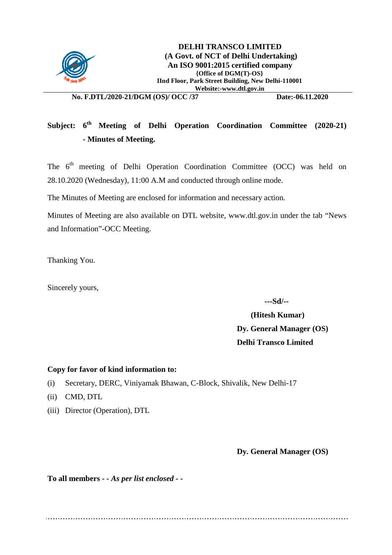

**No. F.DTL/2020-21/DGM (OS)/ OCC /37 Date:-06.11.2020**

## Subject: 6<sup>th</sup> Meeting of Delhi Operation Coordination Committee (2020-21) **- Minutes of Meeting.**

The 6<sup>th</sup> meeting of Delhi Operation Coordination Committee (OCC) was held on 28.10.2020 (Wednesday), 11:00 A.M and conducted through online mode.

The Minutes of Meeting are enclosed for information and necessary action.

Minutes of Meeting are also available on DTL website, [www.dtl.gov.in](http://www.dtl.gov.in/) under the tab "News and Information"-OCC Meeting.

Thanking You.

Sincerely yours,

 **---Sd/--**

## **(Hitesh Kumar) Dy. General Manager (OS) Delhi Transco Limited**

#### **Copy for favor of kind information to:**

- (i) Secretary, DERC, Viniyamak Bhawan, C-Block, Shivalik, New Delhi-17
- (ii) CMD, DTL
- (iii) Director (Operation), DTL

#### **Dy. General Manager (OS)**

**To all members** *- - As per list enclosed - -*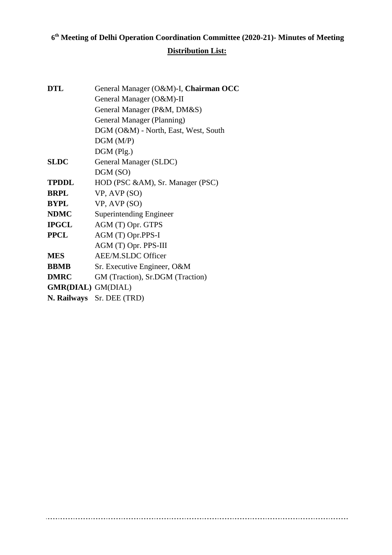# **6th Meeting of Delhi Operation Coordination Committee (2020-21)- Minutes of Meeting Distribution List:**

*MOM of 6th Delhi OCC Meeting (2020-21) dt.-28.10.2020* Page 2 of 17

| DTL                       | General Manager (O&M)-I, Chairman OCC |
|---------------------------|---------------------------------------|
|                           | General Manager (O&M)-II              |
|                           | General Manager (P&M, DM&S)           |
|                           | General Manager (Planning)            |
|                           | DGM (O&M) - North, East, West, South  |
|                           | DGM(M/P)                              |
|                           | DGM (Plg.)                            |
| <b>SLDC</b>               | General Manager (SLDC)                |
|                           | DGM (SO)                              |
| TPDDL                     | HOD (PSC &AM), Sr. Manager (PSC)      |
| BRPL                      | VP, AVP (SO)                          |
| BYPL                      | VP, AVP (SO)                          |
| <b>NDMC</b>               | <b>Superintending Engineer</b>        |
| IPGCL                     | AGM (T) Opr. GTPS                     |
| <b>PPCL</b>               | AGM (T) Opr.PPS-I                     |
|                           | AGM (T) Opr. PPS-III                  |
| MES                       | <b>AEE/M.SLDC Officer</b>             |
| <b>BBMB</b>               | Sr. Executive Engineer, O&M           |
| <b>DMRC</b>               | GM (Traction), Sr.DGM (Traction)      |
| <b>GMR(DIAL)</b> GM(DIAL) |                                       |
|                           | N. Railways Sr. DEE (TRD)             |
|                           |                                       |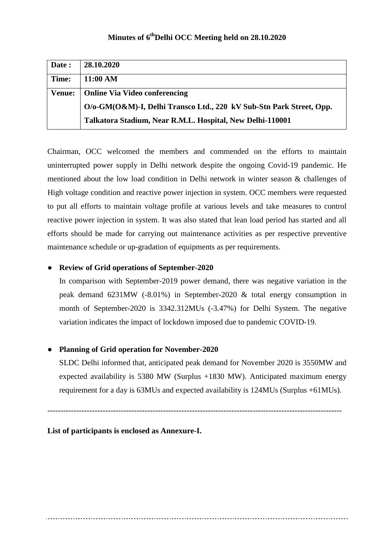| Date:         | 28.10.2020                                                          |
|---------------|---------------------------------------------------------------------|
| Time:         | 11:00 AM                                                            |
| <b>Venue:</b> | <b>Online Via Video conferencing</b>                                |
|               | O/o-GM(O&M)-I, Delhi Transco Ltd., 220 kV Sub-Stn Park Street, Opp. |
|               | Talkatora Stadium, Near R.M.L. Hospital, New Delhi-110001           |

Chairman, OCC welcomed the members and commended on the efforts to maintain uninterrupted power supply in Delhi network despite the ongoing Covid-19 pandemic. He mentioned about the low load condition in Delhi network in winter season & challenges of High voltage condition and reactive power injection in system. OCC members were requested to put all efforts to maintain voltage profile at various levels and take measures to control reactive power injection in system. It was also stated that lean load period has started and all efforts should be made for carrying out maintenance activities as per respective preventive maintenance schedule or up-gradation of equipments as per requirements.

#### ● **Review of Grid operations of September-2020**

In comparison with September-2019 power demand, there was negative variation in the peak demand 6231MW (-8.01%) in September-2020 & total energy consumption in month of September-2020 is 3342.312MUs (-3.47%) for Delhi System. The negative variation indicates the impact of lockdown imposed due to pandemic COVID-19.

#### ● **Planning of Grid operation for November-2020**

 SLDC Delhi informed that, anticipated peak demand for November 2020 is 3550MW and expected availability is 5380 MW (Surplus +1830 MW). Anticipated maximum energy requirement for a day is 63MUs and expected availability is 124MUs (Surplus +61MUs).

----------------------------------------------------------------------------------------------------------------

#### **List of participants is enclosed as Annexure-I.**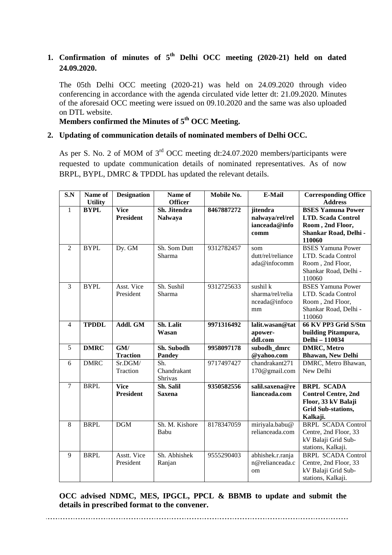## **1. Confirmation of minutes of 5th Delhi OCC meeting (2020-21) held on dated 24.09.2020.**

The 05th Delhi OCC meeting (2020-21) was held on 24.09.2020 through video conferencing in accordance with the agenda circulated vide letter dt: 21.09.2020. Minutes of the aforesaid OCC meeting were issued on 09.10.2020 and the same was also uploaded on DTL website.

## **Members confirmed the Minutes of 5th OCC Meeting.**

## **2. Updating of communication details of nominated members of Delhi OCC.**

As per S. No. 2 of MOM of  $3<sup>rd</sup>$  OCC meeting dt:24.07.2020 members/participants were requested to update communication details of nominated representatives. As of now BRPL, BYPL, DMRC & TPDDL has updated the relevant details.

| S.N            | Name of<br><b>Utility</b> | <b>Designation</b>              | Name of<br><b>Officer</b>      | Mobile No. | E-Mail                                               | <b>Corresponding Office</b><br><b>Address</b>                                                                   |
|----------------|---------------------------|---------------------------------|--------------------------------|------------|------------------------------------------------------|-----------------------------------------------------------------------------------------------------------------|
| $\mathbf{1}$   | <b>BYPL</b>               | Vice<br><b>President</b>        | Sh. Jitendra<br><b>Nalwaya</b> | 8467887272 | jitendra<br>nalwaya/rel/rel<br>ianceada@info<br>comm | <b>BSES Yamuna Power</b><br><b>LTD. Scada Control</b><br>Room, 2nd Floor,<br>Shankar Road, Delhi -<br>110060    |
| 2              | <b>BYPL</b>               | Dy. GM                          | Sh. Som Dutt<br>Sharma         | 9312782457 | som<br>dutt/rel/reliance<br>ada@infocomm             | <b>BSES Yamuna Power</b><br>LTD. Scada Control<br>Room, 2nd Floor,<br>Shankar Road, Delhi -<br>110060           |
| 3              | <b>BYPL</b>               | Asst. Vice<br>President         | Sh. Sushil<br>Sharma           | 9312725633 | sushil k<br>sharma/rel/relia<br>nceada@infoco<br>mm  | <b>BSES</b> Yamuna Power<br>LTD. Scada Control<br>Room, 2nd Floor,<br>Shankar Road, Delhi -<br>110060           |
| $\overline{4}$ | <b>TPDDL</b>              | Addl. GM                        | Sh. Lalit<br>Wasan             | 9971316492 | lalit.wasan@tat<br>apower-<br>ddl.com                | 66 KV PP3 Grid S/Stn<br>building Pitampura,<br>Delhi - 110034                                                   |
| 5              | <b>DMRC</b>               | GM/<br><b>Traction</b>          | Sh. Subodh<br><b>Pandey</b>    | 9958097178 | subodh dmrc<br>@yahoo.com                            | <b>DMRC, Metro</b><br><b>Bhawan, New Delhi</b>                                                                  |
| 6              | <b>DMRC</b>               | Sr.DGM/<br>Traction             | Sh.<br>Chandrakant<br>Shrivas  | 9717497427 | chandrakant271<br>170@gmail.com                      | DMRC, Metro Bhawan,<br>New Delhi                                                                                |
| $\tau$         | <b>BRPL</b>               | <b>Vice</b><br><b>President</b> | Sh. Salil<br><b>Saxena</b>     | 9350582556 | salil.saxena@re<br>lianceada.com                     | <b>BRPL SCADA</b><br><b>Control Centre, 2nd</b><br>Floor, 33 kV Balaji<br><b>Grid Sub-stations,</b><br>Kalkaji. |
| 8              | <b>BRPL</b>               | <b>DGM</b>                      | Sh. M. Kishore<br>Babu         | 8178347059 | miriyala.babu@<br>relianceada.com                    | <b>BRPL SCADA Control</b><br>Centre, 2nd Floor, 33<br>kV Balaji Grid Sub-<br>stations, Kalkaji.                 |
| 9              | <b>BRPL</b>               | Asstt. Vice<br>President        | Sh. Abhishek<br>Ranjan         | 9555290403 | abhishek.r.ranja<br>n@relianceada.c<br>om            | <b>BRPL SCADA Control</b><br>Centre, 2nd Floor, 33<br>kV Balaji Grid Sub-<br>stations, Kalkaji.                 |

**OCC advised NDMC, MES, IPGCL, PPCL & BBMB to update and submit the details in prescribed format to the convener.**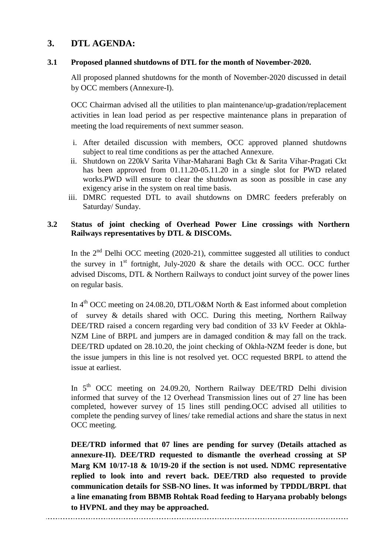## **3. DTL AGENDA:**

#### **3.1 Proposed planned shutdowns of DTL for the month of November-2020.**

All proposed planned shutdowns for the month of November-2020 discussed in detail by OCC members (Annexure-I).

OCC Chairman advised all the utilities to plan maintenance/up-gradation/replacement activities in lean load period as per respective maintenance plans in preparation of meeting the load requirements of next summer season.

- i. After detailed discussion with members, OCC approved planned shutdowns subject to real time conditions as per the attached Annexure.
- ii. Shutdown on 220kV Sarita Vihar-Maharani Bagh Ckt & Sarita Vihar-Pragati Ckt has been approved from 01.11.20-05.11.20 in a single slot for PWD related works.PWD will ensure to clear the shutdown as soon as possible in case any exigency arise in the system on real time basis.
- iii. DMRC requested DTL to avail shutdowns on DMRC feeders preferably on Saturday/ Sunday.

#### **3.2 Status of joint checking of Overhead Power Line crossings with Northern Railways representatives by DTL & DISCOMs.**

In the  $2<sup>nd</sup>$  Delhi OCC meeting (2020-21), committee suggested all utilities to conduct the survey in  $1<sup>st</sup>$  fortnight, July-2020 & share the details with OCC. OCC further advised Discoms, DTL & Northern Railways to conduct joint survey of the power lines on regular basis.

In  $4<sup>th</sup> OCC$  meeting on 24.08.20, DTL/O&M North & East informed about completion of survey & details shared with OCC. During this meeting, Northern Railway DEE/TRD raised a concern regarding very bad condition of 33 kV Feeder at Okhla-NZM Line of BRPL and jumpers are in damaged condition & may fall on the track. DEE/TRD updated on 28.10.20, the joint checking of Okhla-NZM feeder is done, but the issue jumpers in this line is not resolved yet. OCC requested BRPL to attend the issue at earliest.

In 5<sup>th</sup> OCC meeting on 24.09.20, Northern Railway DEE/TRD Delhi division informed that survey of the 12 Overhead Transmission lines out of 27 line has been completed, however survey of 15 lines still pending.OCC advised all utilities to complete the pending survey of lines/ take remedial actions and share the status in next OCC meeting.

**DEE/TRD informed that 07 lines are pending for survey (Details attached as annexure-II). DEE/TRD requested to dismantle the overhead crossing at SP Marg KM 10/17-18 & 10/19-20 if the section is not used. NDMC representative replied to look into and revert back. DEE/TRD also requested to provide communication details for SSB-NO lines. It was informed by TPDDL/BRPL that a line emanating from BBMB Rohtak Road feeding to Haryana probably belongs to HVPNL and they may be approached.**

*MOM of 6th Delhi OCC Meeting (2020-21) dt.-28.10.2020* Page 5 of 17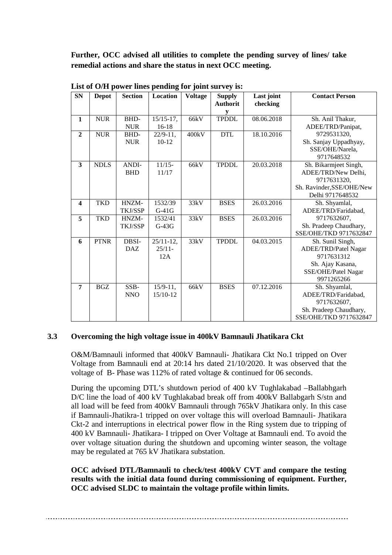**Further, OCC advised all utilities to complete the pending survey of lines/ take remedial actions and share the status in next OCC meeting.**

| <b>SN</b>               | <b>Depot</b> | <b>Section</b>      | Location                         | <b>Voltage</b> | <b>Supply</b><br><b>Authorit</b><br>V | Last joint<br>checking | <b>Contact Person</b>                                                                                           |
|-------------------------|--------------|---------------------|----------------------------------|----------------|---------------------------------------|------------------------|-----------------------------------------------------------------------------------------------------------------|
| $\mathbf{1}$            | <b>NUR</b>   | BHD-<br><b>NUR</b>  | $15/15-17$ ,<br>$16-18$          | 66kV           | <b>TPDDL</b>                          | 08.06.2018             | Sh. Anil Thakur,<br>ADEE/TRD/Panipat,                                                                           |
| $\overline{2}$          | <b>NUR</b>   | BHD-<br><b>NUR</b>  | $22/9 - 11$ ,<br>$10-12$         | 400kV          | <b>DTL</b>                            | 18.10.2016             | 9729531320,<br>Sh. Sanjay Uppadhyay,<br>SSE/OHE/Narela,<br>9717648532                                           |
| 3                       | <b>NDLS</b>  | ANDI-<br><b>BHD</b> | $11/15-$<br>11/17                | 66kV           | <b>TPDDL</b>                          | 20.03.2018             | Sh. Bikarmjeet Singh,<br>ADEE/TRD/New Delhi,<br>9717631320,<br>Sh. Ravinder, SSE/OHE/New<br>Delhi 9717648532    |
| $\overline{\mathbf{4}}$ | <b>TKD</b>   | HNZM-<br>TKJ/SSP    | 1532/39<br>$G-41G$               | 33kV           | <b>BSES</b>                           | 26.03.2016             | Sh. Shyamlal,<br>ADEE/TRD/Faridabad,                                                                            |
| 5                       | <b>TKD</b>   | HNZM-<br>TKJ/SSP    | 1532/41<br>$G-43G$               | 33kV           | <b>BSES</b>                           | 26.03.2016             | 9717632607,<br>Sh. Pradeep Chaudhary,<br>SSE/OHE/TKD 9717632847                                                 |
| 6                       | <b>PTNR</b>  | DBSI-<br><b>DAZ</b> | $25/11-12$ ,<br>$25/11 -$<br>12A | 33kV           | <b>TPDDL</b>                          | 04.03.2015             | Sh. Sunil Singh,<br>ADEE/TRD/Patel Nagar<br>9717631312<br>Sh. Ajay Kasana,<br>SSE/OHE/Patel Nagar<br>9971265266 |
| $\overline{7}$          | <b>BGZ</b>   | SSB-<br><b>NNO</b>  | $15/9 - 11$ ,<br>15/10-12        | 66kV           | <b>BSES</b>                           | 07.12.2016             | Sh. Shyamlal,<br>ADEE/TRD/Faridabad,<br>9717632607,<br>Sh. Pradeep Chaudhary,<br>SSE/OHE/TKD 9717632847         |

**List of O/H power lines pending for joint survey is:**

#### **3.3 Overcoming the high voltage issue in 400kV Bamnauli Jhatikara Ckt**

O&M/Bamnauli informed that 400kV Bamnauli- Jhatikara Ckt No.1 tripped on Over Voltage from Bamnauli end at 20:14 hrs dated 21/10/2020. It was observed that the voltage of B- Phase was 112% of rated voltage & continued for 06 seconds.

During the upcoming DTL's shutdown period of 400 kV Tughlakabad –Ballabhgarh D/C line the load of 400 kV Tughlakabad break off from 400kV Ballabgarh S/stn and all load will be feed from 400kV Bamnauli through 765kV Jhatikara only. In this case if Bamnauli-Jhatikra-1 tripped on over voltage this will overload Bamnauli- Jhatikara Ckt-2 and interruptions in electrical power flow in the Ring system due to tripping of 400 kV Bamnauli- Jhatikara- I tripped on Over Voltage at Bamnauli end. To avoid the over voltage situation during the shutdown and upcoming winter season, the voltage may be regulated at 765 kV Jhatikara substation.

**OCC advised DTL/Bamnauli to check/test 400kV CVT and compare the testing results with the initial data found during commissioning of equipment. Further, OCC advised SLDC to maintain the voltage profile within limits.**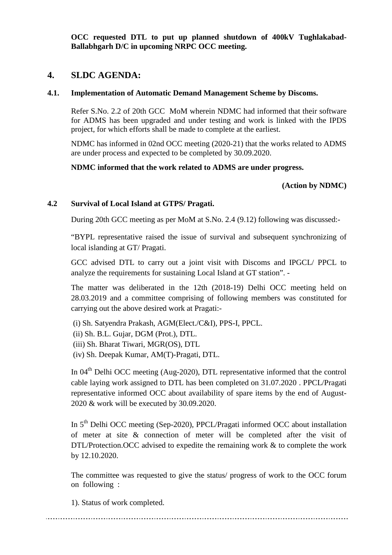**OCC requested DTL to put up planned shutdown of 400kV Tughlakabad-Ballabhgarh D/C in upcoming NRPC OCC meeting.** 

### **4. SLDC AGENDA:**

#### **4.1. Implementation of Automatic Demand Management Scheme by Discoms.**

Refer S.No. 2.2 of 20th GCC MoM wherein NDMC had informed that their software for ADMS has been upgraded and under testing and work is linked with the IPDS project, for which efforts shall be made to complete at the earliest.

NDMC has informed in 02nd OCC meeting (2020-21) that the works related to ADMS are under process and expected to be completed by 30.09.2020.

**NDMC informed that the work related to ADMS are under progress.**

#### **(Action by NDMC)**

#### **4.2 Survival of Local Island at GTPS/ Pragati.**

During 20th GCC meeting as per MoM at S.No. 2.4 (9.12) following was discussed:-

"BYPL representative raised the issue of survival and subsequent synchronizing of local islanding at GT/ Pragati.

GCC advised DTL to carry out a joint visit with Discoms and IPGCL/ PPCL to analyze the requirements for sustaining Local Island at GT station". -

The matter was deliberated in the 12th (2018-19) Delhi OCC meeting held on 28.03.2019 and a committee comprising of following members was constituted for carrying out the above desired work at Pragati:-

- (i) Sh. Satyendra Prakash, AGM(Elect./C&I), PPS-I, PPCL.
- (ii) Sh. B.L. Gujar, DGM (Prot.), DTL.
- (iii) Sh. Bharat Tiwari, MGR(OS), DTL
- (iv) Sh. Deepak Kumar, AM(T)-Pragati, DTL.

In 04<sup>th</sup> Delhi OCC meeting (Aug-2020), DTL representative informed that the control cable laying work assigned to DTL has been completed on 31.07.2020 . PPCL/Pragati representative informed OCC about availability of spare items by the end of August-2020 & work will be executed by 30.09.2020.

In 5<sup>th</sup> Delhi OCC meeting (Sep-2020), PPCL/Pragati informed OCC about installation of meter at site & connection of meter will be completed after the visit of DTL/Protection. OCC advised to expedite the remaining work & to complete the work by 12.10.2020.

The committee was requested to give the status/ progress of work to the OCC forum on following :

1). Status of work completed.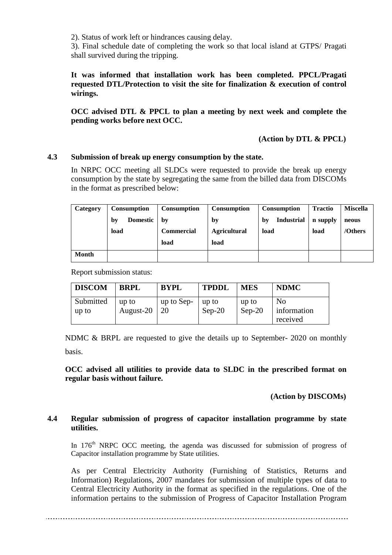2). Status of work left or hindrances causing delay.

3). Final schedule date of completing the work so that local island at GTPS/ Pragati shall survived during the tripping.

**It was informed that installation work has been completed. PPCL/Pragati requested DTL/Protection to visit the site for finalization & execution of control wirings.** 

**OCC advised DTL & PPCL to plan a meeting by next week and complete the pending works before next OCC.**

#### **(Action by DTL & PPCL)**

#### **4.3 Submission of break up energy consumption by the state.**

In NRPC OCC meeting all SLDCs were requested to provide the break up energy consumption by the state by segregating the same from the billed data from DISCOMs in the format as prescribed below:

| Category     | <b>Consumption</b>    | <b>Consumption</b> | <b>Consumption</b>  | <b>Consumption</b>      | <b>Tractio</b> | <b>Miscella</b> |
|--------------|-----------------------|--------------------|---------------------|-------------------------|----------------|-----------------|
|              | <b>Domestic</b><br>by | bv                 | by                  | <b>Industrial</b><br>by | n supply       | neous           |
|              | load                  | Commercial         | <b>Agricultural</b> | load                    | load           | /Others         |
|              |                       | load               | load                |                         |                |                 |
| <b>Month</b> |                       |                    |                     |                         |                |                 |

Report submission status:

| <b>DISCOM</b>      | <b>BRPL</b>        | <b>BYPL</b>      | <b>TPDDL</b>      | <b>MES</b>        | <b>NDMC</b>                               |
|--------------------|--------------------|------------------|-------------------|-------------------|-------------------------------------------|
| Submitted<br>up to | up to<br>August-20 | up to Sep-<br>20 | up to<br>$Sep-20$ | up to<br>$Sep-20$ | N <sub>0</sub><br>information<br>received |

NDMC & BRPL are requested to give the details up to September- 2020 on monthly basis.

**OCC advised all utilities to provide data to SLDC in the prescribed format on regular basis without failure.**

 **(Action by DISCOMs)**

#### **4.4 Regular submission of progress of capacitor installation programme by state utilities.**

In  $176<sup>th</sup>$  NRPC OCC meeting, the agenda was discussed for submission of progress of Capacitor installation programme by State utilities.

As per Central Electricity Authority (Furnishing of Statistics, Returns and Information) Regulations, 2007 mandates for submission of multiple types of data to Central Electricity Authority in the format as specified in the regulations. One of the information pertains to the submission of Progress of Capacitor Installation Program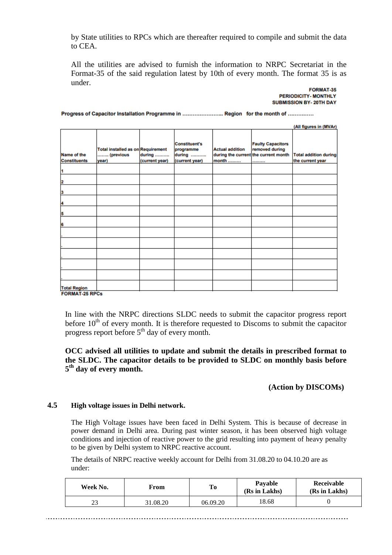by State utilities to RPCs which are thereafter required to compile and submit the data to CEA.

All the utilities are advised to furnish the information to NRPC Secretariat in the Format-35 of the said regulation latest by 10th of every month. The format 35 is as under.

#### FORMAT-35 **PERIODICITY-MONTHLY SUBMISSION BY-20TH DAY**

Progress of Capacitor Installation Programme in .......................... Region for the month of ..............

|                                              |                                                         |                          |                                                               |                                 |                                                                                        | (All figures in (MVAr)                           |
|----------------------------------------------|---------------------------------------------------------|--------------------------|---------------------------------------------------------------|---------------------------------|----------------------------------------------------------------------------------------|--------------------------------------------------|
| Name of the<br><b>Constituents</b>           | Total installed as on Requirement<br>(previous<br>year) | during<br>(current year) | <b>Constituent's</b><br>programme<br>during<br>(current year) | <b>Actual addition</b><br>month | <b>Faulty Capacitors</b><br>removed during<br>during the current the current month<br> | <b>Total addition during</b><br>the current year |
| 1                                            |                                                         |                          |                                                               |                                 |                                                                                        |                                                  |
| 2                                            |                                                         |                          |                                                               |                                 |                                                                                        |                                                  |
| 3                                            |                                                         |                          |                                                               |                                 |                                                                                        |                                                  |
| 4                                            |                                                         |                          |                                                               |                                 |                                                                                        |                                                  |
| 5                                            |                                                         |                          |                                                               |                                 |                                                                                        |                                                  |
| 6                                            |                                                         |                          |                                                               |                                 |                                                                                        |                                                  |
|                                              |                                                         |                          |                                                               |                                 |                                                                                        |                                                  |
|                                              |                                                         |                          |                                                               |                                 |                                                                                        |                                                  |
|                                              |                                                         |                          |                                                               |                                 |                                                                                        |                                                  |
|                                              |                                                         |                          |                                                               |                                 |                                                                                        |                                                  |
|                                              |                                                         |                          |                                                               |                                 |                                                                                        |                                                  |
| <b>Total Region</b><br><b>FORMAT-25 RPCs</b> |                                                         |                          |                                                               |                                 |                                                                                        |                                                  |

In line with the NRPC directions SLDC needs to submit the capacitor progress report before  $10<sup>th</sup>$  of every month. It is therefore requested to Discoms to submit the capacitor progress report before  $5<sup>th</sup>$  day of every month.

#### **OCC advised all utilities to update and submit the details in prescribed format to the SLDC. The capacitor details to be provided to SLDC on monthly basis before 5th day of every month.**

#### **(Action by DISCOMs)**

#### **4.5 High voltage issues in Delhi network.**

The High Voltage issues have been faced in Delhi System. This is because of decrease in power demand in Delhi area. During past winter season, it has been observed high voltage conditions and injection of reactive power to the grid resulting into payment of heavy penalty to be given by Delhi system to NRPC reactive account.

The details of NRPC reactive weekly account for Delhi from 31.08.20 to 04.10.20 are as under:

| Week No. | From     | Tо       | <b>Pavable</b><br>(Rs in Lakhs) | Receivable<br>(Rs in Lakhs) |
|----------|----------|----------|---------------------------------|-----------------------------|
|          | 31.08.20 | 06.09.20 | 18.68                           |                             |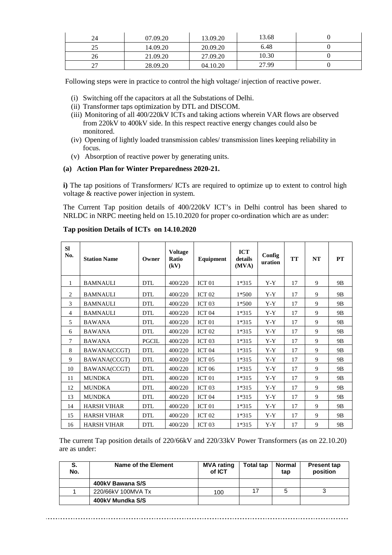| 24 | 07.09.20 | 13.09.20 | 13.68 |  |
|----|----------|----------|-------|--|
| ت  | 14.09.20 | 20.09.20 | 6.48  |  |
| 26 | 21.09.20 | 27.09.20 | 10.30 |  |
| ∼  | 28.09.20 | 04.10.20 | 27.99 |  |

Following steps were in practice to control the high voltage/ injection of reactive power.

- (i) Switching off the capacitors at all the Substations of Delhi.
- (ii) Transformer taps optimization by DTL and DISCOM.
- (iii) Monitoring of all 400/220kV ICTs and taking actions wherein VAR flows are observed from 220kV to 400kV side. In this respect reactive energy changes could also be monitored.
- (iv) Opening of lightly loaded transmission cables/ transmission lines keeping reliability in focus.
- (v) Absorption of reactive power by generating units.

#### **(a) Action Plan for Winter Preparedness 2020-21.**

**i**) The tap positions of Transformers/ ICTs are required to optimize up to extent to control high voltage & reactive power injection in system.

The Current Tap position details of 400/220kV ICT's in Delhi control has been shared to NRLDC in NRPC meeting held on 15.10.2020 for proper co-ordination which are as under:

| <b>SI</b><br>No. | <b>Station Name</b> | Owner        | <b>Voltage</b><br>Ratio<br>(kV) | Equipment         | <b>ICT</b><br>details<br>(MVA) | Config<br>uration | <b>TT</b> | NT | <b>PT</b>      |
|------------------|---------------------|--------------|---------------------------------|-------------------|--------------------------------|-------------------|-----------|----|----------------|
| 1                | <b>BAMNAULI</b>     | <b>DTL</b>   | 400/220                         | ICT <sub>01</sub> | $1*315$                        | $Y-Y$             | 17        | 9  | 9 <sub>B</sub> |
| 2                | <b>BAMNAULI</b>     | <b>DTL</b>   | 400/220                         | ICT <sub>02</sub> | $1*500$                        | $Y-Y$             | 17        | 9  | 9 <sub>B</sub> |
| 3                | <b>BAMNAULI</b>     | <b>DTL</b>   | 400/220                         | ICT <sub>03</sub> | $1*500$                        | $Y-Y$             | 17        | 9  | 9 <sub>B</sub> |
| $\overline{4}$   | <b>BAMNAULI</b>     | <b>DTL</b>   | 400/220                         | ICT <sub>04</sub> | $1*315$                        | $Y-Y$             | 17        | 9  | 9 <sub>B</sub> |
| 5                | <b>BAWANA</b>       | <b>DTL</b>   | 400/220                         | ICT <sub>01</sub> | 1*315                          | $Y-Y$             | 17        | 9  | 9B             |
| 6                | <b>BAWANA</b>       | <b>DTL</b>   | 400/220                         | ICT <sub>02</sub> | $1*315$                        | $Y-Y$             | 17        | 9  | 9 <sub>B</sub> |
| 7                | <b>BAWANA</b>       | <b>PGCIL</b> | 400/220                         | ICT <sub>03</sub> | $1*315$                        | $Y-Y$             | 17        | 9  | 9B             |
| 8                | BAWANA(CCGT)        | <b>DTL</b>   | 400/220                         | ICT <sub>04</sub> | 1*315                          | $Y-Y$             | 17        | 9  | 9B             |
| 9                | BAWANA(CCGT)        | <b>DTL</b>   | 400/220                         | ICT <sub>05</sub> | 1*315                          | $Y-Y$             | 17        | 9  | 9B             |
| 10               | BAWANA(CCGT)        | <b>DTL</b>   | 400/220                         | <b>ICT 06</b>     | 1*315                          | $Y-Y$             | 17        | 9  | 9 <sub>B</sub> |
| 11               | <b>MUNDKA</b>       | <b>DTL</b>   | 400/220                         | ICT <sub>01</sub> | $1*315$                        | $Y-Y$             | 17        | 9  | 9 <sub>B</sub> |
| 12               | <b>MUNDKA</b>       | <b>DTL</b>   | 400/220                         | ICT <sub>03</sub> | $1*315$                        | $Y-Y$             | 17        | 9  | 9B             |
| 13               | <b>MUNDKA</b>       | <b>DTL</b>   | 400/220                         | ICT <sub>04</sub> | 1*315                          | $Y-Y$             | 17        | 9  | 9B             |
| 14               | <b>HARSH VIHAR</b>  | <b>DTL</b>   | 400/220                         | ICT <sub>01</sub> | 1*315                          | $Y-Y$             | 17        | 9  | 9 <sub>B</sub> |
| 15               | <b>HARSH VIHAR</b>  | <b>DTL</b>   | 400/220                         | ICT <sub>02</sub> | 1*315                          | $Y-Y$             | 17        | 9  | 9 <sub>B</sub> |
| 16               | <b>HARSH VIHAR</b>  | <b>DTL</b>   | 400/220                         | ICT <sub>03</sub> | 1*315                          | Y-Y               | 17        | 9  | 9B             |

#### **Tap position Details of ICTs on 14.10.2020**

The current Tap position details of 220/66kV and 220/33kV Power Transformers (as on 22.10.20) are as under:

| S.<br>No. | Name of the Element | <b>MVA rating</b><br>of ICT | <b>Total tap</b> | Normal<br>tap | <b>Present tap</b><br>position |
|-----------|---------------------|-----------------------------|------------------|---------------|--------------------------------|
|           | 400kV Bawana S/S    |                             |                  |               |                                |
|           | 220/66kV 100MVA Tx  | 100                         |                  | ວ             |                                |
|           | 400kV Mundka S/S    |                             |                  |               |                                |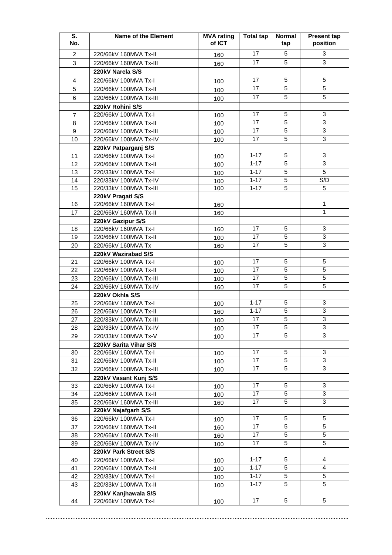| S.<br>No. | <b>Name of the Element</b>                    | <b>MVA</b> rating<br>of ICT | Total tap | <b>Normal</b><br>tap | <b>Present tap</b><br>position |
|-----------|-----------------------------------------------|-----------------------------|-----------|----------------------|--------------------------------|
| 2         | 220/66kV 160MVA Tx-II                         | 160                         | 17        | 5                    | 3                              |
| 3         | 220/66kV 160MVA Tx-III                        | 160                         | 17        | 5                    | $\overline{3}$                 |
|           | 220kV Narela S/S                              |                             |           |                      |                                |
| 4         | 220/66kV 100MVA Tx-I                          | 100                         | 17        | 5                    | 5                              |
| 5         | 220/66kV 100MVA Tx-II                         |                             | 17        | 5                    | 5                              |
| 6         | 220/66kV 100MVA Tx-III                        | 100                         | 17        | 5                    | 5                              |
|           | 220kV Rohini S/S                              | 100                         |           |                      |                                |
| 7         | 220/66kV 100MVA Tx-I                          | 100                         | 17        | 5                    | 3                              |
| 8         | 220/66kV 100MVA Tx-II                         | 100                         | 17        | 5                    | $\overline{3}$                 |
| 9         | 220/66kV 100MVA Tx-III                        | 100                         | 17        | 5                    | $\overline{3}$                 |
| 10        | 220/66kV 100MVA Tx-IV                         | 100                         | 17        | 5                    | $\overline{3}$                 |
|           | 220kV Patparganj S/S                          |                             |           |                      |                                |
| 11        | 220/66kV 100MVA Tx-I                          | 100                         | $1 - 17$  | 5                    | 3                              |
| 12        | 220/66kV 100MVA Tx-II                         | 100                         | $1 - 17$  | 5                    | 3                              |
| 13        | 220/33kV 100MVA Tx-I                          | 100                         | $1 - 17$  | 5                    | 5                              |
| 14        | 220/33kV 100MVA Tx-IV                         | 100                         | $1 - 17$  | 5                    | S/D                            |
| 15        | 220/33kV 100MVA Tx-III                        | 100                         | $1 - 17$  | 5                    | 5                              |
|           | 220kV Pragati S/S                             |                             |           |                      |                                |
| 16        | 220/66kV 160MVA Tx-I                          | 160                         |           |                      | $\mathbf{1}$                   |
| 17        | 220/66kV 160MVA Tx-II                         | 160                         |           |                      | $\mathbf{1}$                   |
|           | 220kV Gazipur S/S                             |                             |           |                      |                                |
| 18        | 220/66kV 160MVA Tx-I                          | 160                         | 17        | 5                    | 3                              |
| 19        | 220/66kV 100MVA Tx-II                         | 100                         | 17        | 5                    | $\overline{3}$                 |
| 20        | 220/66kV 160MVA Tx                            | 160                         | 17        | 5                    | $\overline{3}$                 |
|           | 220kV Wazirabad S/S                           |                             |           |                      |                                |
| 21        | 220/66kV 100MVA Tx-I                          | 100                         | 17        | 5                    | $\sqrt{5}$                     |
| 22        | 220/66kV 100MVA Tx-II                         | 100                         | 17        | 5                    | 5                              |
| 23        | 220/66kV 100MVA Tx-III                        | 100                         | 17        | 5                    | $\sqrt{5}$                     |
| 24        | 220/66kV 160MVA Tx-IV                         | 160                         | 17        | 5                    | 5                              |
|           | 220kV Okhla S/S                               |                             |           |                      |                                |
| 25        | 220/66kV 160MVA Tx-I                          | 100                         | $1 - 17$  | 5                    | 3                              |
| 26        | 220/66kV 100MVA Tx-II                         | 160                         | $1 - 17$  | 5                    | 3                              |
| 27        | 220/33kV 100MVA Tx-III                        | 100                         | 17        | 5                    | $\ensuremath{\mathsf{3}}$      |
| 28        | 220/33kV 100MVA Tx-IV                         | 100                         | 17        | $\overline{5}$       | $\overline{3}$                 |
| 29        | 220/33kV 100MVA Tx-V                          | 100                         | 17        | 5                    | 3                              |
|           | 220kV Sarita Vihar S/S                        |                             |           |                      |                                |
| 30        | 220/66kV 160MVA Tx-I                          | 100                         | 17        | 5                    | 3<br>$\overline{3}$            |
| 31        | 220/66kV 100MVA Tx-II                         | 100                         | 17        | 5                    | $\mathbf{3}$                   |
| 32        | 220/66kV 100MVA Tx-III                        | 100                         | 17        | 5                    |                                |
|           | 220kV Vasant Kunj S/S                         |                             | 17        | 5                    | 3                              |
| 33        | 220/66kV 100MVA Tx-I                          | 100                         | 17        | 5                    | 3                              |
| 34        | 220/66kV 100MVA Tx-II                         | 100                         | 17        | 5                    | 3                              |
| 35        | 220/66kV 160MVA Tx-III<br>220kV Najafgarh S/S | 160                         |           |                      |                                |
| 36        | 220/66kV 100MVA Tx-I                          |                             | 17        | 5                    | 5                              |
| 37        | 220/66kV 160MVA Tx-II                         | 100<br>160                  | 17        | 5                    | 5                              |
| 38        | 220/66kV 160MVA Tx-III                        |                             | 17        | 5                    | $\overline{5}$                 |
| 39        | 220/66kV 100MVA Tx-IV                         | 160<br>100                  | 17        | 5                    | 5                              |
|           | 220kV Park Street S/S                         |                             |           |                      |                                |
| 40        | 220/66kV 100MVA Tx-I                          | 100                         | $1 - 17$  | 5                    | 4                              |
| 41        | 220/66kV 100MVA Tx-II                         | 100                         | $1 - 17$  | 5                    | 4                              |
| 42        | 220/33kV 100MVA Tx-I                          | 100                         | $1 - 17$  | 5                    | 5                              |
| 43        | 220/33kV 100MVA Tx-II                         | 100                         | $1 - 17$  | 5                    | 5                              |
|           | 220kV Kanjhawala S/S                          |                             |           |                      |                                |
| 44        | 220/66kV 100MVA Tx-I                          | 100                         | 17        | 5                    | 5                              |
|           |                                               |                             |           |                      |                                |

*MOM of 6th Delhi OCC Meeting (2020-21) dt.-28.10.2020* Page 11 of 17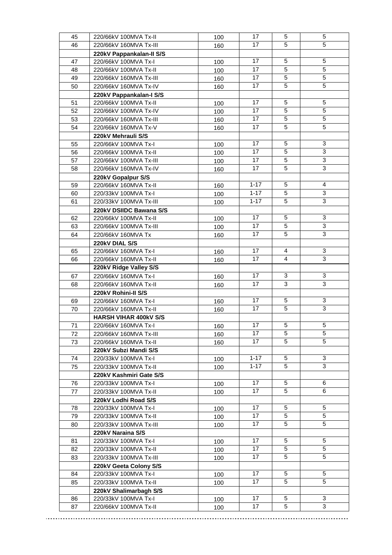| 45 | 220/66kV 100MVA Tx-II        | 100 | 17       | 5              | 5              |
|----|------------------------------|-----|----------|----------------|----------------|
| 46 | 220/66kV 160MVA Tx-III       | 160 | 17       | $\overline{5}$ | $\overline{5}$ |
|    | 220kV Pappankalan-II S/S     |     |          |                |                |
| 47 | 220/66kV 100MVA Tx-I         | 100 | 17       | 5              | 5              |
| 48 | 220/66kV 100MVA Tx-II        | 100 | 17       | 5              | $\sqrt{5}$     |
| 49 | 220/66kV 160MVA Tx-III       | 160 | 17       | 5              | 5              |
| 50 | 220/66kV 160MVA Tx-IV        | 160 | 17       | 5              | $\sqrt{5}$     |
|    | 220kV Pappankalan-I S/S      |     |          |                |                |
| 51 | 220/66kV 100MVA Tx-II        | 100 | 17       | 5              | 5              |
| 52 | 220/66kV 100MVA Tx-IV        | 100 | 17       | 5              | 5              |
| 53 | 220/66kV 160MVA Tx-III       | 160 | 17       | 5              | 5              |
| 54 | 220/66kV 160MVA Tx-V         |     | 17       | 5              | 5              |
|    |                              | 160 |          |                |                |
|    | 220kV Mehrauli S/S           |     | 17       | 5              | 3              |
| 55 | 220/66kV 100MVA Tx-I         | 100 | 17       | 5              | $\overline{3}$ |
| 56 | 220/66kV 100MVA Tx-II        | 100 |          |                | $\overline{3}$ |
| 57 | 220/66kV 100MVA Tx-III       | 100 | 17       | 5              | $\overline{3}$ |
| 58 | 220/66kV 160MVA Tx-IV        | 160 | 17       | 5              |                |
|    | 220kV Gopalpur S/S           |     |          |                |                |
| 59 | 220/66kV 160MVA Tx-II        | 160 | $1 - 17$ | 5              | 4              |
| 60 | 220/33kV 100MVA Tx-I         | 100 | $1 - 17$ | 5              | 3              |
| 61 | 220/33kV 100MVA Tx-III       | 100 | $1 - 17$ | 5              | $\mathbf{3}$   |
|    | 220kV DSIIDC Bawana S/S      |     |          |                |                |
| 62 | 220/66kV 100MVA Tx-II        | 100 | 17       | 5              | 3              |
| 63 | 220/66kV 100MVA Tx-III       | 100 | 17       | 5              | 3              |
| 64 | 220/66kV 160MVA Tx           | 160 | 17       | 5              | 3              |
|    | 220kV DIAL S/S               |     |          |                |                |
| 65 | 220/66kV 160MVA Tx-I         | 160 | 17       | 4              | 3              |
| 66 | 220/66kV 160MVA Tx-II        | 160 | 17       | 4              | $\overline{3}$ |
|    | 220kV Ridge Valley S/S       |     |          |                |                |
| 67 | 220/66kV 160MVA Tx-I         | 160 | 17       | 3              | 3              |
| 68 | 220/66kV 160MVA Tx-II        | 160 | 17       | 3              | 3              |
|    | 220kV Rohini-II S/S          |     |          |                |                |
| 69 | 220/66kV 160MVA Tx-I         | 160 | 17       | 5              | 3              |
| 70 | 220/66kV 160MVA Tx-II        | 160 | 17       | 5              | 3              |
|    | <b>HARSH VIHAR 400kV S/S</b> |     |          |                |                |
| 71 | 220/66kV 160MVA Tx-I         | 160 | 17       | 5              | 5              |
| 72 | 220/66kV 160MVA Tx-III       | 160 | 17       | 5              | 5              |
| 73 | 220/66kV 160MVA Tx-II        | 160 | 17       | 5              | $\overline{5}$ |
|    | 220kV Subzi Mandi S/S        |     |          |                |                |
| 74 | 220/33kV 100MVA Tx-I         | 100 | $1 - 17$ | 5              | $\mathbf{3}$   |
| 75 | 220/33kV 100MVA Tx-II        | 100 | $1 - 17$ | 5              | 3              |
|    | 220kV Kashmiri Gate S/S      |     |          |                |                |
| 76 | 220/33kV 100MVA Tx-I         | 100 | 17       | 5              | 6              |
| 77 | 220/33kV 100MVA Tx-II        | 100 | 17       | 5              | 6              |
|    | 220kV Lodhi Road S/S         |     |          |                |                |
| 78 | 220/33kV 100MVA Tx-I         | 100 | 17       | 5              | 5              |
| 79 | 220/33kV 100MVA Tx-II        | 100 | 17       | 5              | 5              |
| 80 | 220/33kV 100MVA Tx-III       | 100 | 17       | 5              | 5              |
|    | 220kV Naraina S/S            |     |          |                |                |
| 81 | 220/33kV 100MVA Tx-I         | 100 | 17       | 5              | 5              |
| 82 | 220/33kV 100MVA Tx-II        | 100 | 17       | 5              | 5              |
| 83 | 220/33kV 100MVA Tx-III       | 100 | 17       | 5              | 5              |
|    | 220kV Geeta Colony S/S       |     |          |                |                |
| 84 | 220/33kV 100MVA Tx-I         | 100 | 17       | 5              | 5              |
| 85 | 220/33kV 100MVA Tx-II        | 100 | 17       | 5              | 5              |
|    | 220kV Shalimarbagh S/S       |     |          |                |                |
| 86 | 220/33kV 100MVA Tx-I         | 100 | 17       | 5              | 3              |
| 87 | 220/66kV 100MVA Tx-II        | 100 | 17       | 5              | 3              |
|    |                              |     |          |                |                |

*MOM of 6th Delhi OCC Meeting (2020-21) dt.-28.10.2020* Page 12 of 17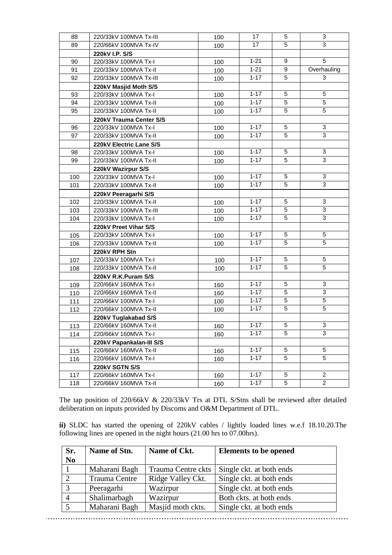| 88  | 220/33kV 100MVA Tx-III   | 100 | 17       | 5 | 3              |
|-----|--------------------------|-----|----------|---|----------------|
| 89  | 220/66kV 100MVA Tx-IV    | 100 | 17       | 5 | 3              |
|     | 220kV I.P. S/S           |     |          |   |                |
| 90  | 220/33kV 100MVA Tx-I     | 100 | $1 - 21$ | 9 | $\sqrt{5}$     |
| 91  | 220/33kV 100MVA Tx-II    | 100 | $1 - 21$ | 9 | Overhauling    |
| 92  | 220/33kV 100MVA Tx-III   | 100 | $1 - 17$ | 5 | 3              |
|     | 220kV Masjid Moth S/S    |     |          |   |                |
| 93  | 220/33kV 100MVA Tx-I     | 100 | $1 - 17$ | 5 | $\sqrt{5}$     |
| 94  | 220/33kV 100MVA Tx-II    | 100 | $1 - 17$ | 5 | $\sqrt{5}$     |
| 95  | 220/33kV 100MVA Tx-II    | 100 | $1 - 17$ | 5 | $\sqrt{5}$     |
|     | 220kV Trauma Center S/S  |     |          |   |                |
| 96  | 220/33kV 100MVA Tx-I     | 100 | $1 - 17$ | 5 | 3              |
| 97  | 220/33kV 100MVA Tx-II    | 100 | $1 - 17$ | 5 | $\overline{3}$ |
|     | 220kV Electric Lane S/S  |     |          |   |                |
| 98  | 220/33kV 100MVA Tx-I     | 100 | $1 - 17$ | 5 | 3              |
| 99  | 220/33kV 100MVA Tx-II    | 100 | $1 - 17$ | 5 | $\sqrt{3}$     |
|     | 220kV Wazirpur S/S       |     |          |   |                |
| 100 | 220/33kV 100MVA Tx-I     | 100 | $1 - 17$ | 5 | 3              |
| 101 | 220/33kV 100MVA Tx-II    | 100 | $1 - 17$ | 5 | 3              |
|     | 220kV Peeragarhi S/S     |     |          |   |                |
| 102 | 220/33kV 100MVA Tx-II    | 100 | $1 - 17$ | 5 | 3              |
| 103 | 220/33kV 100MVA Tx-III   | 100 | $1 - 17$ | 5 | $\mathbf{3}$   |
| 104 | 220/33kV 100MVA Tx-I     | 100 | $1 - 17$ | 5 | 3              |
|     | 220kV Preet Vihar S/S    |     |          |   |                |
| 105 | 220/33kV 100MVA Tx-I     | 100 | $1 - 17$ | 5 | 5              |
| 106 | 220/33kV 100MVA Tx-II    | 100 | $1 - 17$ | 5 | 5              |
|     | 220kV RPH Stn            |     |          |   |                |
| 107 | 220/33kV 100MVA Tx-I     | 100 | $1 - 17$ | 5 | 5              |
| 108 | 220/33kV 100MVA Tx-II    | 100 | $1 - 17$ | 5 | $\sqrt{5}$     |
|     | 220kV R.K.Puram S/S      |     |          |   |                |
| 109 | 220/66kV 160MVA Tx-I     | 160 | $1 - 17$ | 5 | 3              |
| 110 | 220/66kV 160MVA Tx-II    | 160 | $1 - 17$ | 5 | 3              |
| 111 | 220/66kV 100MVA Tx-I     | 100 | $1 - 17$ | 5 | $\sqrt{5}$     |
| 112 | 220/66kV 100MVA Tx-II    | 100 | $1 - 17$ | 5 | $\sqrt{5}$     |
|     | 220kV Tuglakabad S/S     |     |          |   |                |
| 113 | 220/66kV 160MVA Tx-II    | 160 | $1 - 17$ | 5 | 3              |
| 114 | 220/66kV 160MVA Tx-I     | 160 | $1 - 17$ | 5 | 3              |
|     | 220kV Papankalan-III S/S |     |          |   |                |
| 115 | 220/66kV 160MVA Tx-II    | 160 | $1 - 17$ | 5 | 5              |
| 116 | 220/66kV 160MVA Tx-I     | 160 | $1 - 17$ | 5 | 5              |
|     | 220kV SGTN S/S           |     |          |   |                |
| 117 | 220/66kV 160MVA Tx-I     | 160 | $1 - 17$ | 5 | $\overline{c}$ |
| 118 | 220/66kV 160MVA Tx-II    | 160 | $1 - 17$ | 5 | $\overline{2}$ |

The tap position of 220/66kV & 220/33kV Trs at DTL S/Stns shall be reviewed after detailed deliberation on inputs provided by Discoms and O&M Department of DTL.

**ii)** SLDC has started the opening of 220kV cables / lightly loaded lines w.e.f 18.10.20.The following lines are opened in the night hours (21.00 hrs to 07.00hrs).

| Sr.<br>N <sub>o</sub> | Name of Stn.         | Name of Ckt.       | <b>Elements to be opened</b> |
|-----------------------|----------------------|--------------------|------------------------------|
|                       | Maharani Bagh        | Trauma Centre ckts | Single ckt. at both ends     |
| $\gamma$              | <b>Trauma Centre</b> | Ridge Valley Ckt.  | Single ckt. at both ends     |
| $\mathcal{R}$         | Peeragarhi           | Wazirpur           | Single ckt. at both ends     |
| $\overline{4}$        | Shalimarbagh         | Wazirpur           | Both ckts. at both ends      |
|                       | Maharani Bagh        | Masjid moth ckts.  | Single ckt. at both ends     |

*MOM of 6th Delhi OCC Meeting (2020-21) dt.-28.10.2020* Page 13 of 17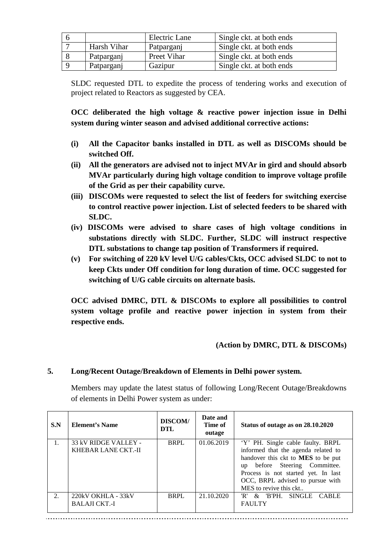|             | Electric Lane | Single ckt. at both ends |
|-------------|---------------|--------------------------|
| Harsh Vihar | Patparganj    | Single ckt. at both ends |
| Patparganj  | Preet Vihar   | Single ckt. at both ends |
| Patparganj  | Gazipur       | Single ckt. at both ends |

SLDC requested DTL to expedite the process of tendering works and execution of project related to Reactors as suggested by CEA.

**OCC deliberated the high voltage & reactive power injection issue in Delhi system during winter season and advised additional corrective actions:**

- **(i) All the Capacitor banks installed in DTL as well as DISCOMs should be switched Off.**
- **(ii) All the generators are advised not to inject MVAr in gird and should absorb MVAr particularly during high voltage condition to improve voltage profile of the Grid as per their capability curve.**
- **(iii) DISCOMs were requested to select the list of feeders for switching exercise to control reactive power injection. List of selected feeders to be shared with SLDC.**
- **(iv) DISCOMs were advised to share cases of high voltage conditions in substations directly with SLDC. Further, SLDC will instruct respective DTL substations to change tap position of Transformers if required.**
- **(v) For switching of 220 kV level U/G cables/Ckts, OCC advised SLDC to not to keep Ckts under Off condition for long duration of time. OCC suggested for switching of U/G cable circuits on alternate basis.**

**OCC advised DMRC, DTL & DISCOMs to explore all possibilities to control system voltage profile and reactive power injection in system from their respective ends.**

### **(Action by DMRC, DTL & DISCOMs)**

#### **5. Long/Recent Outage/Breakdown of Elements in Delhi power system.**

Members may update the latest status of following Long/Recent Outage/Breakdowns of elements in Delhi Power system as under:

| S.N | <b>Element's Name</b>                       | <b>DISCOM/</b><br><b>DTL</b> | Date and<br>Time of<br>outage | Status of outage as on 28.10.2020                                                                                                                                                                                                                       |
|-----|---------------------------------------------|------------------------------|-------------------------------|---------------------------------------------------------------------------------------------------------------------------------------------------------------------------------------------------------------------------------------------------------|
|     | 33 kV RIDGE VALLEY -<br>KHEBAR LANE CKT.-II | <b>BRPL</b>                  | 01.06.2019                    | 'Y' PH. Single cable faulty. BRPL<br>informed that the agenda related to<br>handover this ckt to MES to be put<br>before Steering Committee.<br>up<br>Process is not started yet. In last<br>OCC, BRPL advised to pursue with<br>MES to revive this ckt |
| 2.  | 220kV OKHLA - 33kV<br><b>BALAJI CKT.-I</b>  | <b>BRPL</b>                  | 21.10.2020                    | <b>SINGLE</b><br>'R' & B'PH<br><b>CABLE</b><br><b>FAULTY</b>                                                                                                                                                                                            |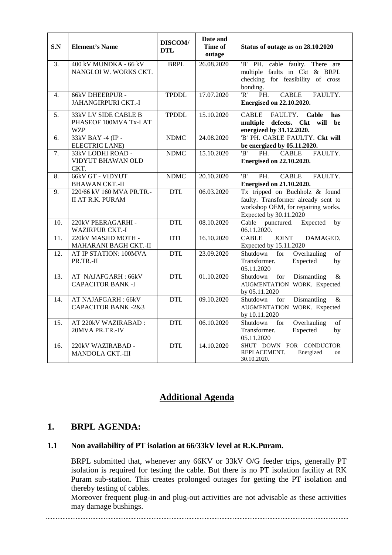| S.N | <b>Element's Name</b>                                               | DISCOM/<br><b>DTL</b> | Date and<br>Time of<br>outage | Status of outage as on 28.10.2020                                                                                                     |
|-----|---------------------------------------------------------------------|-----------------------|-------------------------------|---------------------------------------------------------------------------------------------------------------------------------------|
| 3.  | 400 kV MUNDKA - 66 kV<br>NANGLOI W. WORKS CKT.                      | <b>BRPL</b>           | 26.08.2020                    | 'B' PH. cable faulty. There are<br>multiple faults in Ckt & BRPL<br>checking for feasibility of cross<br>bonding.                     |
| 4.  | <b>66kV DHEERPUR -</b><br>JAHANGIRPURI CKT.-I                       | <b>TPDDL</b>          | 17.07.2020                    | R'<br>$\overline{PH}$ .<br><b>CABLE</b><br>FAULTY.<br><b>Energised on 22.10.2020.</b>                                                 |
| 5.  | <b>33kV LV SIDE CABLE B</b><br>PHASEOF 100MVA Tx-I AT<br><b>WZP</b> | <b>TPDDL</b>          | 15.10.2020                    | <b>CABLE</b><br>FAULTY.<br>Cable<br>has<br>multiple defects. Ckt<br>will be<br>energized by 31.12.2020.                               |
| 6.  | 33kV BAY -4 (IP -<br><b>ELECTRIC LANE)</b>                          | <b>NDMC</b>           | 24.08.2020                    | 'B' PH. CABLE FAULTY. Ckt will<br>be energized by 05.11.2020.                                                                         |
| 7.  | 33kV LODHI ROAD -<br>VIDYUT BHAWAN OLD<br>CKT.                      | <b>NDMC</b>           | 15.10.2020                    | 'R'<br>PH.<br><b>CABLE</b><br>FAULTY.<br><b>Energised on 22.10.2020.</b>                                                              |
| 8.  | 66kV GT - VIDYUT<br><b>BHAWAN CKT.-II</b>                           | <b>NDMC</b>           | 20.10.2020                    | $\overline{B}$<br>FAULTY.<br>PH.<br><b>CABLE</b><br><b>Energised on 21.10.2020.</b>                                                   |
| 9.  | 220/66 kV 160 MVA PR.TR.-<br><b>II AT R.K. PURAM</b>                | <b>DTL</b>            | 06.03.2020                    | Tx tripped on Buchholz & found<br>faulty. Transformer already sent to<br>workshop OEM, for repairing works.<br>Expected by 30.11.2020 |
| 10. | 220kV PEERAGARHI -<br><b>WAZIRPUR CKT.-I</b>                        | <b>DTL</b>            | 08.10.2020                    | punctured.<br>Cable<br>Expected<br>by<br>06.11.2020.                                                                                  |
| 11. | 220kV MASJID MOTH -<br>MAHARANI BAGH CKT.-II                        | <b>DTL</b>            | 16.10.2020                    | <b>JOINT</b><br><b>CABLE</b><br>DAMAGED.<br>Expected by 15.11.2020                                                                    |
| 12. | AT IP STATION: 100MVA<br>PR.TR.-II                                  | <b>DTL</b>            | 23.09.2020                    | Shutdown<br>Overhauling<br>for<br>of<br>Transformer.<br>Expected<br>by<br>05.11.2020                                                  |
| 13. | AT NAJAFGARH: 66kV<br><b>CAPACITOR BANK -I</b>                      | <b>DTL</b>            | 01.10.2020                    | Shutdown<br>for<br>Dismantling<br>&<br>AUGMENTATION WORK. Expected<br>by 05.11.2020                                                   |
| 14. | AT NAJAFGARH: 66kV<br><b>CAPACITOR BANK -2&amp;3</b>                | <b>DTL</b>            | 09.10.2020                    | Shutdown<br>Dismantling<br>$\&$<br>for<br>AUGMENTATION WORK. Expected<br>by 10.11.2020                                                |
| 15. | AT 220kV WAZIRABAD:<br>20MVA PR.TR.-IV                              | <b>DTL</b>            | 06.10.2020                    | Overhauling<br>Shutdown<br>of<br>for<br>Expected<br>Transformer.<br>by<br>05.11.2020                                                  |
| 16. | 220kV WAZIRABAD -<br><b>MANDOLA CKT.-III</b>                        | <b>DTL</b>            | 14.10.2020                    | SHUT DOWN FOR CONDUCTOR<br>REPLACEMENT.<br>Energized<br>on<br>30.10.2020.                                                             |

## **Additional Agenda**

### **1. BRPL AGENDA:**

#### **1.1 Non availability of PT isolation at 66/33kV level at R.K.Puram.**

BRPL submitted that, whenever any 66KV or 33kV O/G feeder trips, generally PT isolation is required for testing the cable. But there is no PT isolation facility at RK Puram sub-station. This creates prolonged outages for getting the PT isolation and thereby testing of cables.

Moreover frequent plug-in and plug-out activities are not advisable as these activities may damage bushings.

. . . . . . . . . . . . .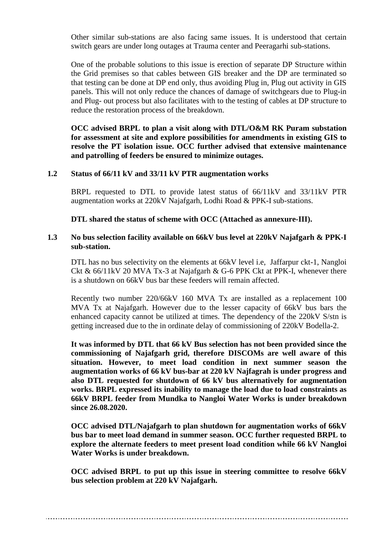Other similar sub-stations are also facing same issues. It is understood that certain switch gears are under long outages at Trauma center and Peeragarhi sub-stations.

One of the probable solutions to this issue is erection of separate DP Structure within the Grid premises so that cables between GIS breaker and the DP are terminated so that testing can be done at DP end only, thus avoiding Plug in, Plug out activity in GIS panels. This will not only reduce the chances of damage of switchgears due to Plug-in and Plug- out process but also facilitates with to the testing of cables at DP structure to reduce the restoration process of the breakdown.

**OCC advised BRPL to plan a visit along with DTL/O&M RK Puram substation for assessment at site and explore possibilities for amendments in existing GIS to resolve the PT isolation issue. OCC further advised that extensive maintenance and patrolling of feeders be ensured to minimize outages.**

#### **1.2 Status of 66/11 kV and 33/11 kV PTR augmentation works**

BRPL requested to DTL to provide latest status of 66/11kV and 33/11kV PTR augmentation works at 220kV Najafgarh, Lodhi Road & PPK-I sub-stations.

**DTL shared the status of scheme with OCC (Attached as annexure-III).**

#### **1.3 No bus selection facility available on 66kV bus level at 220kV Najafgarh & PPK-I sub-station.**

DTL has no bus selectivity on the elements at 66kV level i.e, Jaffarpur ckt-1, Nangloi Ckt & 66/11kV 20 MVA Tx-3 at Najafgarh & G-6 PPK Ckt at PPK-I, whenever there is a shutdown on 66kV bus bar these feeders will remain affected.

Recently two number 220/66kV 160 MVA Tx are installed as a replacement 100 MVA Tx at Najafgarh. However due to the lesser capacity of 66kV bus bars the enhanced capacity cannot be utilized at times. The dependency of the 220kV S/stn is getting increased due to the in ordinate delay of commissioning of 220kV Bodella-2.

**It was informed by DTL that 66 kV Bus selection has not been provided since the commissioning of Najafgarh grid, therefore DISCOMs are well aware of this situation. However, to meet load condition in next summer season the augmentation works of 66 kV bus-bar at 220 kV Najfagrah is under progress and also DTL requested for shutdown of 66 kV bus alternatively for augmentation works. BRPL expressed its inability to manage the load due to load constraints as 66kV BRPL feeder from Mundka to Nangloi Water Works is under breakdown since 26.08.2020.**

**OCC advised DTL/Najafgarh to plan shutdown for augmentation works of 66kV bus bar to meet load demand in summer season. OCC further requested BRPL to explore the alternate feeders to meet present load condition while 66 kV Nangloi Water Works is under breakdown.** 

**OCC advised BRPL to put up this issue in steering committee to resolve 66kV bus selection problem at 220 kV Najafgarh.**